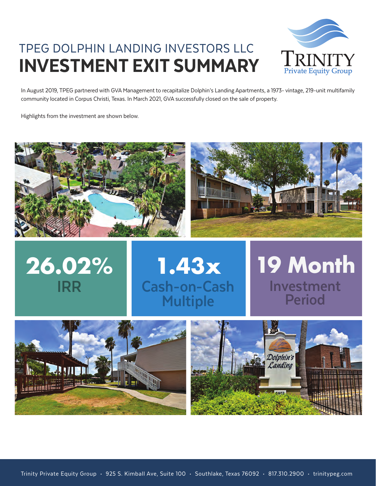## TPEG DOLPHIN LANDING INVESTORS LLC INVESTMENT EXIT SUMMARY



In August 2019, TPEG partnered with GVA Management to recapitalize Dolphin's Landing Apartments, a 1973- vintage, 219-unit multifamily community located in Corpus Christi, Texas. In March 2021, GVA successfully closed on the sale of property.

Highlights from the investment are shown below.







# **Investment Period 19 Month**



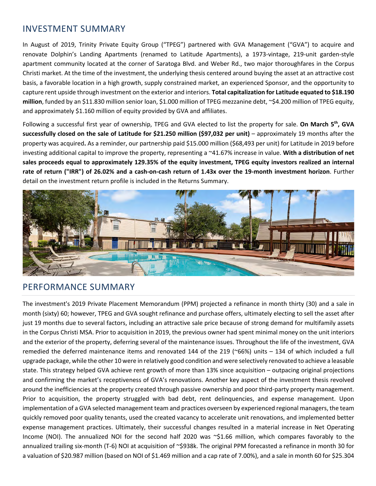#### INVESTMENT SUMMARY

In August of 2019, Trinity Private Equity Group ("TPEG") partnered with GVA Management ("GVA") to acquire and renovate Dolphin's Landing Apartments (renamed to Latitude Apartments), a 1973-vintage, 219-unit garden-style apartment community located at the corner of Saratoga Blvd. and Weber Rd., two major thoroughfares in the Corpus Christi market. At the time of the investment, the underlying thesis centered around buying the asset at an attractive cost basis, a favorable location in a high growth, supply constrained market, an experienced Sponsor, and the opportunity to capture rent upside through investment on the exterior and interiors. **Total capitalization for Latitude equated to \$18.190 million**, funded by an \$11.830 million senior loan, \$1.000 million of TPEG mezzanine debt, ~\$4.200 million of TPEG equity, and approximately \$1.160 million of equity provided by GVA and affiliates.

Following a successful first year of ownership, TPEG and GVA elected to list the property for sale. **On March 5th, GVA successfully closed on the sale of Latitude for \$21.250 million (\$97,032 per unit)** – approximately 19 months after the property was acquired**.** As a reminder, our partnership paid \$15.000 million (\$68,493 per unit) for Latitude in 2019 before investing additional capital to improve the property, representing a ~41.67% increase in value. **With a distribution of net sales proceeds equal to approximately 129.35% of the equity investment, TPEG equity investors realized an internal rate of return ("IRR") of 26.02% and a cash-on-cash return of 1.43x over the 19-month investment horizon**. Further detail on the investment return profile is included in the Returns Summary.



#### PERFORMANCE SUMMARY

The investment's 2019 Private Placement Memorandum (PPM) projected a refinance in month thirty (30) and a sale in month (sixty) 60; however, TPEG and GVA sought refinance and purchase offers, ultimately electing to sell the asset after just 19 months due to several factors, including an attractive sale price because of strong demand for multifamily assets in the Corpus Christi MSA. Prior to acquisition in 2019, the previous owner had spent minimal money on the unit interiors and the exterior of the property, deferring several of the maintenance issues. Throughout the life of the investment, GVA remedied the deferred maintenance items and renovated 144 of the 219 (~66%) units – 134 of which included a full upgrade package, while the other 10 were in relatively good condition and were selectively renovated to achieve a leasable state. This strategy helped GVA achieve rent growth of more than 13% since acquisition – outpacing original projections and confirming the market's receptiveness of GVA's renovations. Another key aspect of the investment thesis revolved around the inefficiencies at the property created through passive ownership and poor third-party property management. Prior to acquisition, the property struggled with bad debt, rent delinquencies, and expense management. Upon implementation of a GVA selected management team and practices overseen by experienced regional managers, the team quickly removed poor quality tenants, used the created vacancy to accelerate unit renovations, and implemented better expense management practices. Ultimately, their successful changes resulted in a material increase in Net Operating Income (NOI). The annualized NOI for the second half 2020 was ~\$1.66 million, which compares favorably to the annualized trailing six-month (T-6) NOI at acquisition of ~\$938k. The original PPM forecasted a refinance in month 30 for a valuation of \$20.987 million (based on NOI of \$1.469 million and a cap rate of 7.00%), and a sale in month 60 for \$25.304